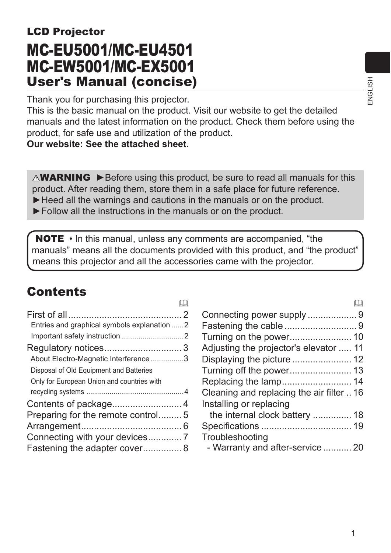# LCD Projector MC-EU5001/MC-EU4501 MC-EW5001/MC-EX5001 User's Manual (concise)

Thank you for purchasing this projector.

This is the basic manual on the product. Visit our website to get the detailed manuals and the latest information on the product. Check them before using the product, for safe use and utilization of the product.

#### **Our website: See the attached sheet.**

 $\triangle$ WARNING  $\triangleright$  Before using this product, be sure to read all manuals for this product. After reading them, store them in a safe place for future reference.

► Heed all the warnings and cautions in the manuals or on the product.

►Follow all the instructions in the manuals or on the product.

NOTE • In this manual, unless any comments are accompanied, "the manuals" means all the documents provided with this product, and "the product" means this projector and all the accessories came with the projector.

 $\mathbb{M}$ 

## **Contents**

| Entries and graphical symbols explanation 2 |  |
|---------------------------------------------|--|
|                                             |  |
|                                             |  |
| About Electro-Magnetic Interference 3       |  |
| Disposal of Old Equipment and Batteries     |  |
| Only for European Union and countries with  |  |
|                                             |  |
|                                             |  |
| Preparing for the remote control5           |  |
|                                             |  |
|                                             |  |
| Fastening the adapter cover 8               |  |
|                                             |  |

| ba                                        |  |
|-------------------------------------------|--|
| Connecting power supply 9                 |  |
|                                           |  |
|                                           |  |
| Adjusting the projector's elevator<br>11  |  |
| Displaying the picture  12                |  |
|                                           |  |
|                                           |  |
| Cleaning and replacing the air filter  16 |  |
| Installing or replacing                   |  |
| the internal clock battery  18            |  |
|                                           |  |
| Troubleshooting                           |  |
| - Warranty and after-service  20          |  |

 $\sqrt{2}$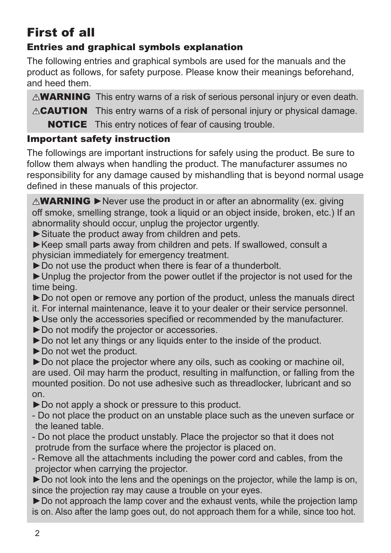# First of all

## Entries and graphical symbols explanation

The following entries and graphical symbols are used for the manuals and the product as follows, for safety purpose. Please know their meanings beforehand, and heed them.

 $\triangle$ WARNING This entry warns of a risk of serious personal injury or even death.

**ACAUTION** This entry warns of a risk of personal injury or physical damage.

**NOTICE** This entry notices of fear of causing trouble.

### Important safety instruction

The followings are important instructions for safely using the product. Be sure to follow them always when handling the product. The manufacturer assumes no responsibility for any damage caused by mishandling that is beyond normal usage defined in these manuals of this projector.

 $\triangle$ WARNING  $\triangleright$  Never use the product in or after an abnormality (ex. giving off smoke, smelling strange, took a liquid or an object inside, broken, etc.) If an abnormality should occur, unplug the projector urgently.

► Situate the product away from children and pets.

►Keep small parts away from children and pets. If swallowed, consult a physician immediately for emergency treatment.

►Do not use the product when there is fear of a thunderbolt.

►Unplug the projector from the power outlet if the projector is not used for the time being.

►Do not open or remove any portion of the product, unless the manuals direct

it. For internal maintenance, leave it to your dealer or their service personnel. ► Use only the accessories specified or recommended by the manufacturer.

►Do not modify the projector or accessories.

►Do not let any things or any liquids enter to the inside of the product.

►Do not wet the product.

►Do not place the projector where any oils, such as cooking or machine oil, are used. Oil may harm the product, resulting in malfunction, or falling from the mounted position. Do not use adhesive such as threadlocker, lubricant and so on.

►Do not apply a shock or pressure to this product.

- Do not place the product on an unstable place such as the uneven surface or the leaned table.

- Do not place the product unstably. Place the projector so that it does not protrude from the surface where the projector is placed on.

- Remove all the attachments including the power cord and cables, from the projector when carrying the projector.

► Do not look into the lens and the openings on the projector, while the lamp is on, since the projection ray may cause a trouble on your eyes.

► Do not approach the lamp cover and the exhaust vents, while the projection lamp is on. Also after the lamp goes out, do not approach them for a while, since too hot.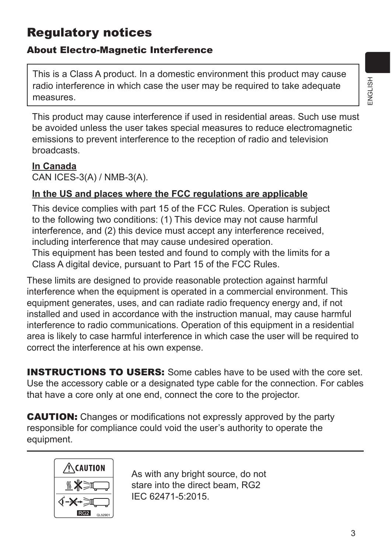## Regulatory notices

## About Electro-Magnetic Interference

This is a Class A product. In a domestic environment this product may cause radio interference in which case the user may be required to take adequate measures.

This product may cause interference if used in residential areas. Such use must be avoided unless the user takes special measures to reduce electromagnetic emissions to prevent interference to the reception of radio and television broadcasts.

#### **In Canada**

CAN ICES-3(A) / NMB-3(A).

### **In the US and places where the FCC regulations are applicable**

This device complies with part 15 of the FCC Rules. Operation is subject to the following two conditions: (1) This device may not cause harmful interference, and (2) this device must accept any interference received, including interference that may cause undesired operation.

This equipment has been tested and found to comply with the limits for a Class A digital device, pursuant to Part 15 of the FCC Rules.

These limits are designed to provide reasonable protection against harmful interference when the equipment is operated in a commercial environment. This equipment generates, uses, and can radiate radio frequency energy and, if not installed and used in accordance with the instruction manual, may cause harmful interference to radio communications. Operation of this equipment in a residential area is likely to case harmful interference in which case the user will be required to correct the interference at his own expense.

**INSTRUCTIONS TO USERS:** Some cables have to be used with the core set. Use the accessory cable or a designated type cable for the connection. For cables that have a core only at one end, connect the core to the projector.

**CAUTION:** Changes or modifications not expressly approved by the party responsible for compliance could void the user's authority to operate the equipment.



As with any bright source, do not stare into the direct beam, RG2 IEC 62471-5:2015.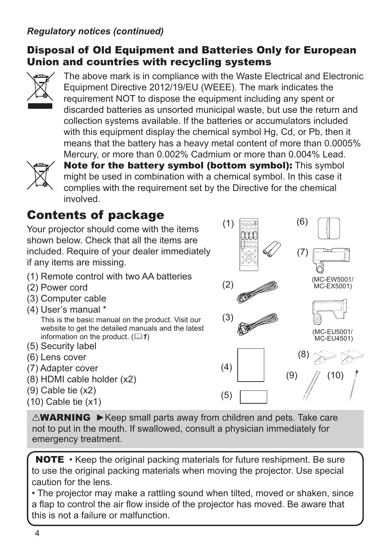### *Regulatory notices (continued)*

### Disposal of Old Equipment and Batteries Only for European Union and countries with recycling systems



The above mark is in compliance with the Waste Electrical and Electronic Equipment Directive 2012/19/EU (WEEE). The mark indicates the requirement NOT to dispose the equipment including any spent or discarded batteries as unsorted municipal waste, but use the return and collection systems available. If the batteries or accumulators included with this equipment display the chemical symbol Hg, Cd, or Pb, then it means that the battery has a heavy metal content of more than 0.0005% Mercury, or more than 0.002% Cadmium or more than 0.004% Lead.



Note for the battery symbol (bottom symbol): This symbol might be used in combination with a chemical symbol. In this case it complies with the requirement set by the Directive for the chemical involved.

 $(1)$ 

INNE CONTINUES.

## Contents of package

Your projector should come with the items shown below. Check that all the items are included. Require of your dealer immediately if any items are missing.

- (1) Remote control with two AA batteries
- (2) Power cord
- (3) Computer cable
- (4) User's manual \* This is the basic manual on the product. Visit our website to get the detailed manuals and the latest information on the product.  $(\Box \Box 1)$
- (5) Security label
- (6) Lens cover
- (7) Adapter cover
- (8) HDMI cable holder (x2)
- (9) Cable tie (x2)
- (10) Cable tie (x1)

(4) (5) (2) (3) ESC MENU ENTER FOCUS ac INTERACTIVE MAGNIFY VOLUME 2012 AND IN 1979 AND INCOME. GEOMETRY PICTURE - WILL (7) (8)  $(9)$  //  $(10)$ ( MC-EW5001/ MC-EX5001) ( MC-EU5001/ MC-EU4501)

(6)

WARNING ►Keep small parts away from children and pets. Take care not to put in the mouth. If swallowed, consult a physician immediately for emergency treatment.

**NOTE** • Keep the original packing materials for future reshipment. Be sure to use the original packing materials when moving the projector. Use special caution for the lens.

• The projector may make a rattling sound when tilted, moved or shaken, since a flap to control the air flow inside of the projector has moved. Be aware that this is not a failure or malfunction.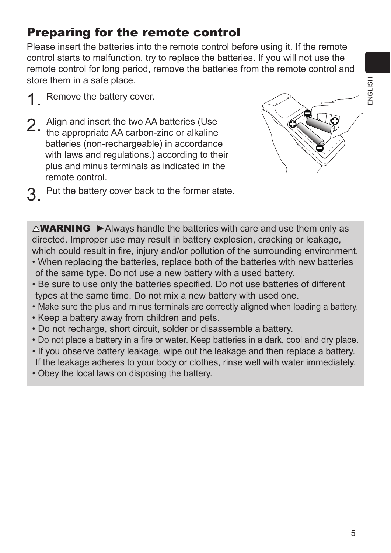## Preparing for the remote control

Please insert the batteries into the remote control before using it. If the remote control starts to malfunction, try to replace the batteries. If you will not use the remote control for long period, remove the batteries from the remote control and store them in a safe place.

- 1 Remove the battery cover.
- 2. Align and insert the two AA batteries (Use the appropriate AA carbon-zinc or alkaline batteries (non-rechargeable) in accordance with laws and regulations.) according to their plus and minus terminals as indicated in the remote control.
- 3. Put the battery cover back to the former state.

 $\triangle$ WARNING  $\triangleright$  Always handle the batteries with care and use them only as directed. Improper use may result in battery explosion, cracking or leakage, which could result in fire, injury and/or pollution of the surrounding environment.

- When replacing the batteries, replace both of the batteries with new batteries of the same type. Do not use a new battery with a used battery.
- Be sure to use only the batteries specified. Do not use batteries of different types at the same time. Do not mix a new battery with used one.
- Make sure the plus and minus terminals are correctly aligned when loading a battery.
- Keep a battery away from children and pets.
- Do not recharge, short circuit, solder or disassemble a battery.
- Do not place a battery in a fire or water. Keep batteries in a dark, cool and dry place.
- If you observe battery leakage, wipe out the leakage and then replace a battery. If the leakage adheres to your body or clothes, rinse well with water immediately.
- Obey the local laws on disposing the battery.

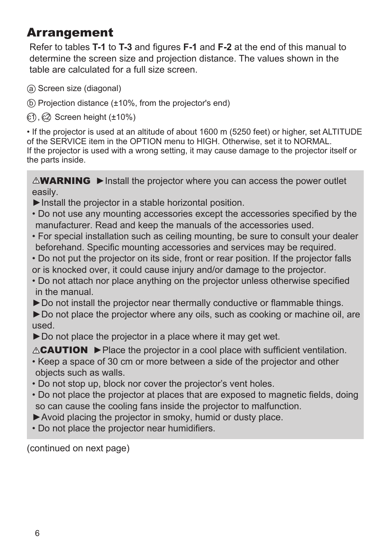# Arrangement

Refer to tables **T-1** to **T-3** and figures **F-1** and **F-2** at the end of this manual to determine the screen size and projection distance. The values shown in the table are calculated for a full size screen.

- (a) Screen size (diagonal)
- $(b)$  Projection distance ( $\pm$ 10%, from the projector's end)
- $(1)$ ,  $(2)$  Screen height ( $\pm 10\%$ )

• If the projector is used at an altitude of about 1600 m (5250 feet) or higher, set ALTITUDE of the SERVICE item in the OPTION menu to HIGH. Otherwise, set it to NORMAL. If the projector is used with a wrong setting, it may cause damage to the projector itself or the parts inside.

 $\triangle$ WARNING  $\triangleright$  Install the projector where you can access the power outlet easily.

- ►Install the projector in a stable horizontal position.
- Do not use any mounting accessories except the accessories specified by the manufacturer. Read and keep the manuals of the accessories used.
- For special installation such as ceiling mounting, be sure to consult your dealer beforehand. Specific mounting accessories and services may be required.
- Do not put the projector on its side, front or rear position. If the projector falls or is knocked over, it could cause injury and/or damage to the projector.
- Do not attach nor place anything on the projector unless otherwise specified in the manual.
- ►Do not install the projector near thermally conductive or flammable things.

► Do not place the projector where any oils, such as cooking or machine oil, are used.

► Do not place the projector in a place where it may get wet.

CAUTION ►Place the projector in a cool place with sufficient ventilation.

- Keep a space of 30 cm or more between a side of the projector and other objects such as walls.
- Do not stop up, block nor cover the projector's vent holes.
- Do not place the projector at places that are exposed to magnetic fields, doing so can cause the cooling fans inside the projector to malfunction.
- ►Avoid placing the projector in smoky, humid or dusty place.
- Do not place the projector near humidifiers.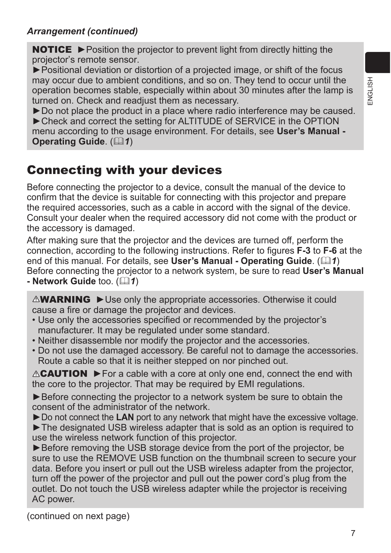#### *Arrangement (continued)*

NOTICE ► Position the projector to prevent light from directly hitting the projector's remote sensor.

►Positional deviation or distortion of a projected image, or shift of the focus may occur due to ambient conditions, and so on. They tend to occur until the operation becomes stable, especially within about 30 minutes after the lamp is turned on. Check and readjust them as necessary.

►Do not place the product in a place where radio interference may be caused. ► Check and correct the setting for ALTITUDE of SERVICE in the OPTION menu according to the usage environment. For details, see **User's Manual - Operating Guide.** (21)

## Connecting with your devices

Before connecting the projector to a device, consult the manual of the device to confirm that the device is suitable for connecting with this projector and prepare the required accessories, such as a cable in accord with the signal of the device. Consult your dealer when the required accessory did not come with the product or the accessory is damaged.

After making sure that the projector and the devices are turned off, perform the connection, according to the following instructions. Refer to figures **F-3** to **F-6** at the end of this manual. For details, see **User's Manual - Operating Guide**. ( $\mathbb{Q}$ 1) Before connecting the projector to a network system, be sure to read **User's Manual - Network Guide** too. ( $\Box$ 1)

**AWARNING** ► Use only the appropriate accessories. Otherwise it could cause a fire or damage the projector and devices.

- Use only the accessories specified or recommended by the projector's manufacturer. It may be regulated under some standard.
- Neither disassemble nor modify the projector and the accessories.
- Do not use the damaged accessory. Be careful not to damage the accessories. Route a cable so that it is neither stepped on nor pinched out.

 $\triangle$ **CAUTION**  $\triangleright$  For a cable with a core at only one end, connect the end with the core to the projector. That may be required by EMI regulations.

► Before connecting the projector to a network system be sure to obtain the consent of the administrator of the network.

►Do not connect the **LAN** port to any network that might have the excessive voltage. ►The designated USB wireless adapter that is sold as an option is required to use the wireless network function of this projector.

► Before removing the USB storage device from the port of the projector, be sure to use the REMOVE USB function on the thumbnail screen to secure your data. Before you insert or pull out the USB wireless adapter from the projector, turn off the power of the projector and pull out the power cord's plug from the outlet. Do not touch the USB wireless adapter while the projector is receiving AC power.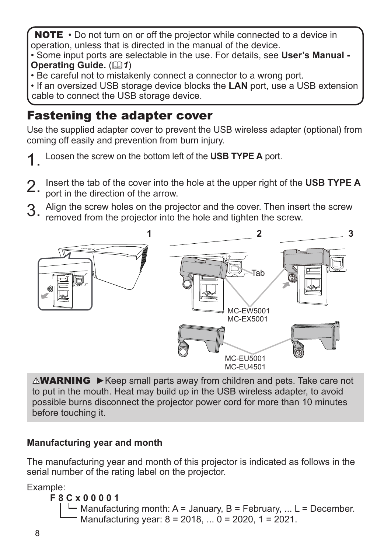NOTE • Do not turn on or off the projector while connected to a device in operation, unless that is directed in the manual of the device.

• Some input ports are selectable in the use. For details, see **User's Manual - Operating Guide.** ( $\Box$ 1)

• Be careful not to mistakenly connect a connector to a wrong port.

• If an oversized USB storage device blocks the **LAN** port, use a USB extension cable to connect the USB storage device.

# Fastening the adapter cover

Use the supplied adapter cover to prevent the USB wireless adapter (optional) from coming off easily and prevention from burn injury.

- 1. Loosen the screw on the bottom left of the **USB TYPE A** port.
- 2. Insert the tab of the cover into the hole at the upper right of the **USB TYPE A**
- port in the direction of the arrow.
- 3. Align the screw holes on the projector and the cover. Then insert the screw removed from the projector into the hole and tighten the screw.



**AWARNING** ► Keep small parts away from children and pets. Take care not to put in the mouth. Heat may build up in the USB wireless adapter, to avoid possible burns disconnect the projector power cord for more than 10 minutes before touching it.

### **Manufacturing year and month**

The manufacturing year and month of this projector is indicated as follows in the serial number of the rating label on the projector.

Example:

#### **F 8 C x 0 0 0 0 1**

 $\Box$  Manufacturing month: A = January, B = February, ... L = December.  $\blacksquare$  Manufacturing year:  $8 = 2018, \ldots 0 = 2020, 1 = 2021$ .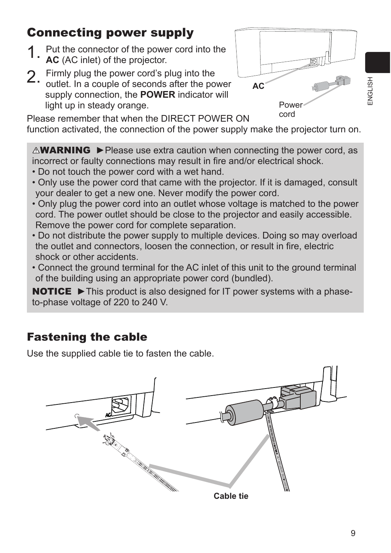# Connecting power supply

- 1. Put the connector of the power cord into the **AC** (AC inlet) of the projector.
- 
- 2. Firmly plug the power cord's plug into the outlet. In a couple of seconds after the power supply connection, the **POWER** indicator will light up in steady orange.

Please remember that when the DIRECT POWER ON function activated, the connection of the power supply make the projector turn on. cord

**AC**

Power

 $\triangle$ WARNING  $\triangleright$  Please use extra caution when connecting the power cord, as incorrect or faulty connections may result in fire and/or electrical shock.

- Do not touch the power cord with a wet hand.
- Only use the power cord that came with the projector. If it is damaged, consult your dealer to get a new one. Never modify the power cord.
- Only plug the power cord into an outlet whose voltage is matched to the power cord. The power outlet should be close to the projector and easily accessible. Remove the power cord for complete separation.
- Do not distribute the power supply to multiple devices. Doing so may overload the outlet and connectors, loosen the connection, or result in fire, electric shock or other accidents.
- Connect the ground terminal for the AC inlet of this unit to the ground terminal of the building using an appropriate power cord (bundled).

NOTICE ► This product is also designed for IT power systems with a phaseto-phase voltage of 220 to 240 V.

## Fastening the cable

Use the supplied cable tie to fasten the cable.

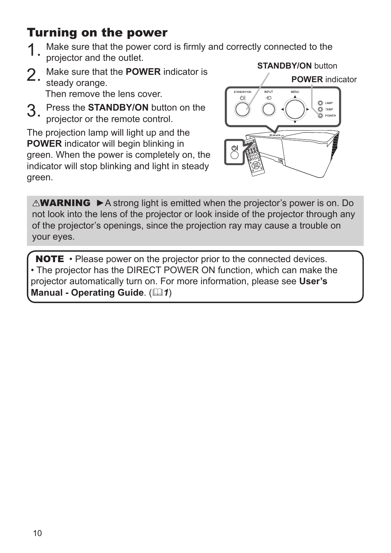## Turning on the power

- Make sure that the power cord is firmly and correctly connected to the projector and the outlet. **STANDBY/ON** button
- 2. Make sure that the **POWER** indicator is steady orange. Then remove the lens cover.
- 3. Press the **STANDBY/ON** button on the projector or the remote control.

The projection lamp will light up and the **POWER** indicator will begin blinking in green. When the power is completely on, the indicator will stop blinking and light in steady green.



 $\triangle$ WARNING  $\triangleright$  A strong light is emitted when the projector's power is on. Do not look into the lens of the projector or look inside of the projector through any of the projector's openings, since the projection ray may cause a trouble on your eyes.

NOTE • Please power on the projector prior to the connected devices. • The projector has the DIRECT POWER ON function, which can make the projector automatically turn on. For more information, please see **User's Manual - Operating Guide.** ( $\Box$ 1)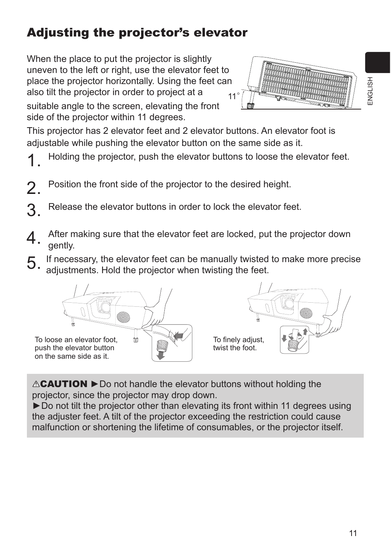# Adjusting the projector's elevator

When the place to put the projector is slightly uneven to the left or right, use the elevator feet to place the projector horizontally. Using the feet can also tilt the projector in order to project at a suitable angle to the screen, elevating the front side of the projector within 11 degrees. 11°

This projector has 2 elevator feet and 2 elevator buttons. An elevator foot is adjustable while pushing the elevator button on the same side as it.

- Holding the projector, push the elevator buttons to loose the elevator feet.
- Position the front side of the projector to the desired height.
- 3. Release the elevator buttons in order to lock the elevator feet.
- A After making sure that the elevator feet are locked, put the projector down gently.
- 5. If necessary, the elevator feet can be manually twisted to make more precise adjustments. Hold the projector when twisting the feet.





CAUTION ►Do not handle the elevator buttons without holding the projector, since the projector may drop down.

►Do not tilt the projector other than elevating its front within 11 degrees using the adjuster feet. A tilt of the projector exceeding the restriction could cause malfunction or shortening the lifetime of consumables, or the projector itself.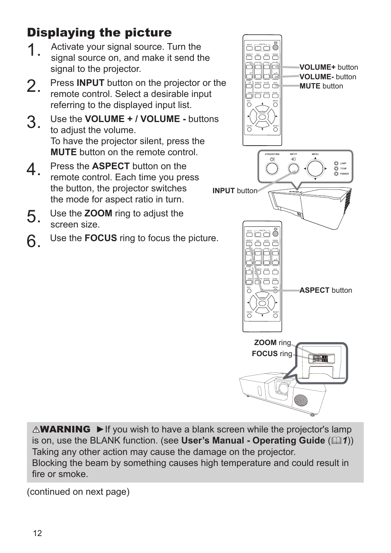Displaying the picture

- 1. Activate your signal source. Turn the signal source on, and make it send the signal to the projector.
- 2. Press **INPUT** button on the projector or the remote control. Select a desirable input referring to the displayed input list.
- 3. Use the **VOLUME + / VOLUME -** buttons to adjust the volume. To have the projector silent, press the **MUTE** button on the remote control.
- 4. Press the **ASPECT** button on the remote control. Each time you press the button, the projector switches the mode for aspect ratio in turn.
- 5. Use the **ZOOM** ring to adjust the screen size.
- 6. Use the **FOCUS** ring to focus the picture.



 $\triangle$ WARNING  $\triangleright$  If you wish to have a blank screen while the projector's lamp is on, use the BLANK function. (see **User's Manual - Operating Guide** ( $\mathbb{Q}(1)$ ) Taking any other action may cause the damage on the projector. Blocking the beam by something causes high temperature and could result in fire or smoke.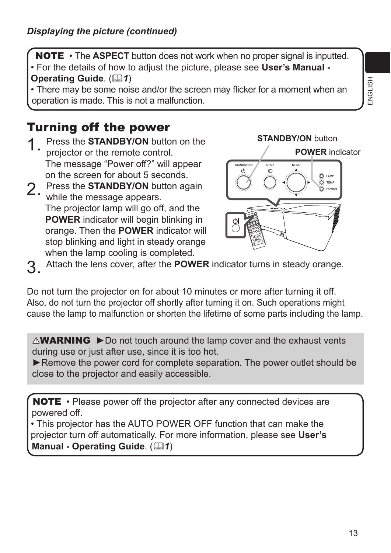NOTE • The **ASPECT** button does not work when no proper signal is inputted. • For the details of how to adjust the picture, please see **User's Manual - Operating Guide.** (21)

• There may be some noise and/or the screen may flicker for a moment when an operation is made. This is not a malfunction.

## Turning off the power

- Press the **STANDBY/ON** button on the projector or the remote control. The message "Power off?" will appear on the screen for about 5 seconds.
- 2. Press the **STANDBY/ON** button again while the message appears. The projector lamp will go off, and the **POWER** indicator will begin blinking in orange. Then the **POWER** indicator will stop blinking and light in steady orange when the lamp cooling is completed.



3. Attach the lens cover, after the **POWER** indicator turns in steady orange.

Do not turn the projector on for about 10 minutes or more after turning it off. Also, do not turn the projector off shortly after turning it on. Such operations might cause the lamp to malfunction or shorten the lifetime of some parts including the lamp.

 $\triangle$ WARNING  $\triangleright$  Do not touch around the lamp cover and the exhaust vents during use or just after use, since it is too hot.

► Remove the power cord for complete separation. The power outlet should be close to the projector and easily accessible.

NOTE • Please power off the projector after any connected devices are powered off.

• This projector has the AUTO POWER OFF function that can make the projector turn off automatically. For more information, please see **User's Manual - Operating Guide.** ( $\Box$ 1)

ENGLISH ENGLISH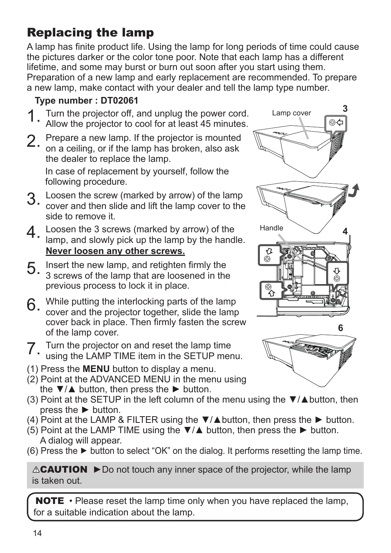# Replacing the lamp

A lamp has finite product life. Using the lamp for long periods of time could cause the pictures darker or the color tone poor. Note that each lamp has a different lifetime, and some may burst or burn out soon after you start using them. Preparation of a new lamp and early replacement are recommended. To prepare a new lamp, make contact with your dealer and tell the lamp type number.

## **Type number : DT02061**

- Turn the projector off, and unplug the power cord. Allow the projector to cool for at least 45 minutes.
- 
- 2. Prepare a new lamp. If the projector is mounted<br>on a ceiling, or if the lamp has broken, also ask the dealer to replace the lamp.

In case of replacement by yourself, follow the following procedure.

- 3. Loosen the screw (marked by arrow) of the lamp cover and then slide and lift the lamp cover to the side to remove it.
- 4. Loosen the 3 screws (marked by arrow) of the lamp, and slowly pick up the lamp by the handle. **Never loosen any other screws.**
- 5. Insert the new lamp, and retighten firmly the 3 screws of the lamp that are loosened in the previous process to lock it in place.
- 6. While putting the interlocking parts of the lamp cover and the projector together, slide the lamp cover back in place. Then firmly fasten the screw of the lamp cover.

- 7. Turn the projector on and reset the lamp time using the LAMP TIME item in the SETUP menu.
- (1) Press the **MENU** button to display a menu.
- (2) Point at the ADVANCED MENU in the menu using the  $\nabla/\Delta$  button, then press the  $\blacktriangleright$  button.
- (3) Point at the SETUP in the left column of the menu using the  $\nabla/\Delta$  button, then press the ► button.
- (4) Point at the LAMP & FILTER using the  $\nabla/\Delta$  button, then press the  $\blacktriangleright$  button.
- (5) Point at the LAMP TIME using the  $\nabla/\blacktriangle$  button, then press the  $\blacktriangleright$  button. A dialog will appear.
- (6) Press the  $\blacktriangleright$  button to select "OK" on the dialog. It performs resetting the lamp time.

CAUTION ►Do not touch any inner space of the projector, while the lamp is taken out.

NOTE • Please reset the lamp time only when you have replaced the lamp, for a suitable indication about the lamp.



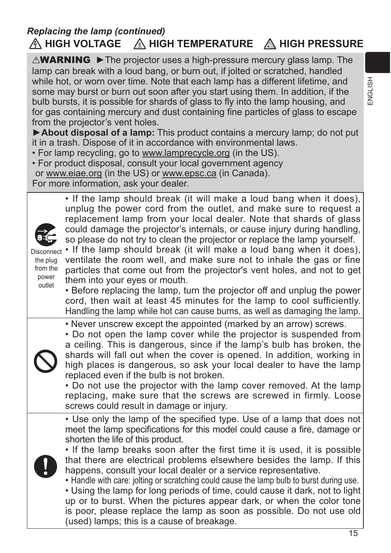## **A HIGH VOLTAGE A HIGH TEMPERATURE A HIGH PRESSURE** *Replacing the lamp (continued)*

**AWARNING** ► The projector uses a high-pressure mercury glass lamp. The lamp can break with a loud bang, or burn out, if jolted or scratched, handled while hot, or worn over time. Note that each lamp has a different lifetime, and some may burst or burn out soon after you start using them. In addition, if the bulb bursts, it is possible for shards of glass to fly into the lamp housing, and for gas containing mercury and dust containing fine particles of glass to escape from the projector's vent holes.

►**About disposal of a lamp:** This product contains a mercury lamp; do not put it in a trash. Dispose of it in accordance with environmental laws.

• For lamp recycling, go to www.lamprecycle.org (in the US).

• For product disposal, consult your local government agency or www.eiae.org (in the US) or www.epsc.ca (in Canada). For more information, ask your dealer.

> • If the lamp should break (it will make a loud bang when it does), unplug the power cord from the outlet, and make sure to request a replacement lamp from your local dealer. Note that shards of glass could damage the projector's internals, or cause injury during handling, so please do not try to clean the projector or replace the lamp yourself.

the plug from the power outlet

Disconnect • If the lamp should break (it will make a loud bang when it does), ventilate the room well, and make sure not to inhale the gas or fine particles that come out from the projector's vent holes, and not to get them into your eyes or mouth.

• Before replacing the lamp, turn the projector off and unplug the power cord, then wait at least 45 minutes for the lamp to cool sufficiently. Handling the lamp while hot can cause burns, as well as damaging the lamp.

• Never unscrew except the appointed (marked by an arrow) screws.



• Do not open the lamp cover while the projector is suspended from a ceiling. This is dangerous, since if the lamp's bulb has broken, the shards will fall out when the cover is opened. In addition, working in high places is dangerous, so ask your local dealer to have the lamp replaced even if the bulb is not broken.

• Do not use the projector with the lamp cover removed. At the lamp replacing, make sure that the screws are screwed in firmly. Loose screws could result in damage or injury.

• Use only the lamp of the specified type. Use of a lamp that does not meet the lamp specifications for this model could cause a fire, damage or shorten the life of this product.



• If the lamp breaks soon after the first time it is used, it is possible that there are electrical problems elsewhere besides the lamp. If this happens, consult your local dealer or a service representative.

• Handle with care: jolting or scratching could cause the lamp bulb to burst during use.

• Using the lamp for long periods of time, could cause it dark, not to light up or to burst. When the pictures appear dark, or when the color tone is poor, please replace the lamp as soon as possible. Do not use old (used) lamps; this is a cause of breakage.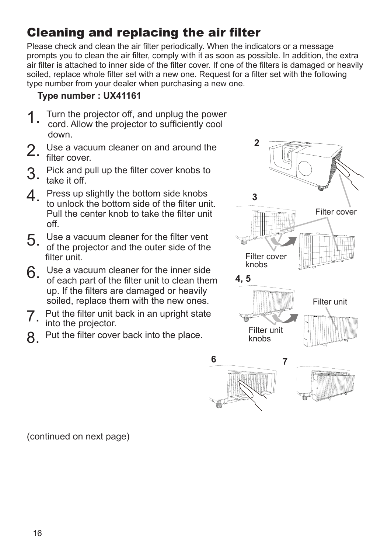# Cleaning and replacing the air filter

Please check and clean the air filter periodically. When the indicators or a message prompts you to clean the air filter, comply with it as soon as possible. In addition, the extra air filter is attached to inner side of the filter cover. If one of the filters is damaged or heavily soiled, replace whole filter set with a new one. Request for a filter set with the following type number from your dealer when purchasing a new one.

### **Type number : UX41161**

- 1 Turn the projector off, and unplug the power cord. Allow the projector to sufficiently cool
- down. 2. Use a vacuum cleaner on and around the
- filter cover.
- 3. Pick and pull up the filter cover knobs to  $3.$  Fight call that it off.
- 4 Press up slightly the bottom side knobs to unlock the bottom side of the filter unit. Pull the center knob to take the filter unit off.
- 5. Use a vacuum cleaner for the filter vent of the projector and the outer side of the filter unit.
- 6. Use a vacuum cleaner for the inner side of each part of the filter unit to clean them up. If the filters are damaged or heavily soiled, replace them with the new ones.
- 7. Put the filter unit back in an upright state into the projector.
- 8. Put the filter cover back into the place.

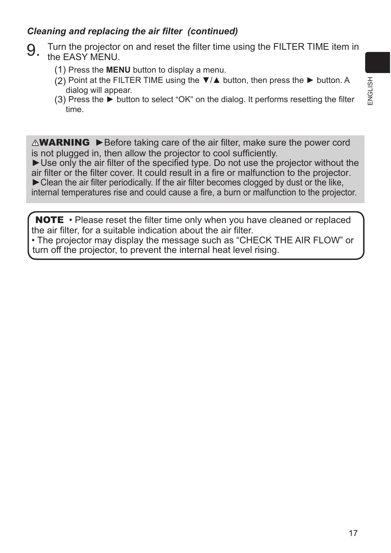### *Cleaning and replacing the air filter (continued)*

- 9. Turn the projector on and reset the filter time using the FILTER TIME item in the EASY MENU.
	- (1) Press the **MENU** button to display a menu.
	- (2) Point at the FILTER TIME using the  $\nabla/\Delta$  button, then press the  $\blacktriangleright$  button. A dialog will appear.
	- (3) Press the ► button to select "OK" on the dialog. It performs resetting the filter time.

 $\triangle$ WARNING  $\triangleright$  Before taking care of the air filter, make sure the power cord is not plugged in, then allow the projector to cool sufficiently.

►Use only the air filter of the specified type. Do not use the projector without the air filter or the filter cover. It could result in a fire or malfunction to the projector. ►Clean the air filter periodically. If the air filter becomes clogged by dust or the like, internal temperatures rise and could cause a fire, a burn or malfunction to the projector.

NOTE • Please reset the filter time only when you have cleaned or replaced the air filter, for a suitable indication about the air filter.

• The projector may display the message such as "CHECK THE AIR FLOW" or turn off the projector, to prevent the internal heat level rising.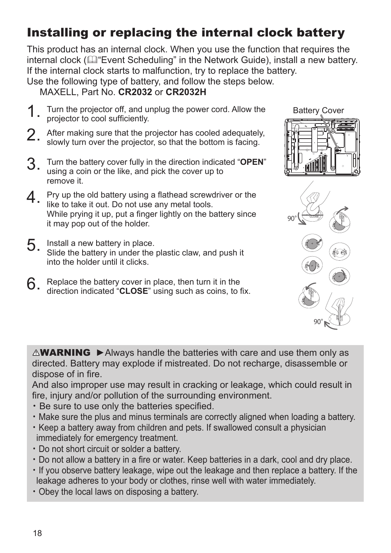# Installing or replacing the internal clock battery

This product has an internal clock. When you use the function that requires the internal clock ( $\mathbb{Q}$  Event Scheduling" in the Network Guide), install a new battery. If the internal clock starts to malfunction, try to replace the battery. Use the following type of battery, and follow the steps below.

MAXELL, Part No. **CR2032** or **CR2032H**

- 1 Turn the projector off, and unplug the power cord. Allow the projector to cool sufficiently.
- 2. After making sure that the projector has cooled adequately, slowly turn over the projector, so that the bottom is facing.
- 3. Turn the battery cover fully in the direction indicated "**OPEN**" using a coin or the like, and pick the cover up to remove it.
- 4 Pry up the old battery using a flathead screwdriver or the like to take it out. Do not use any metal tools. While prying it up, put a finger lightly on the battery since it may pop out of the holder.
- 5. Install a new battery in place. Slide the battery in under the plastic claw, and push it into the holder until it clicks.
- $6.$  Replace the battery cover in place, then turn it in the direction indicated "**CLOSE**" using such as coins, to fix.

OPEN CLOSE  $90^\circ$  N

OPEN CLOSE

OPEN

Battery Cover

OPEN<sup>T</sup>

90° CLOSE

 $\triangle$ WARNING  $\triangleright$  Always handle the batteries with care and use them only as directed. Battery may explode if mistreated. Do not recharge, disassemble or dispose of in fire.

And also improper use may result in cracking or leakage, which could result in fire, injury and/or pollution of the surrounding environment.

- Be sure to use only the batteries specified.
- ・ Make sure the plus and minus terminals are correctly aligned when loading a battery.
- ・Keep a battery away from children and pets. If swallowed consult a physician immediately for emergency treatment.
- ・ Do not short circuit or solder a battery.
- Do not allow a battery in a fire or water. Keep batteries in a dark, cool and dry place.
- ・If you observe battery leakage, wipe out the leakage and then replace a battery. If the leakage adheres to your body or clothes, rinse well with water immediately.
- ・ Obey the local laws on disposing a battery.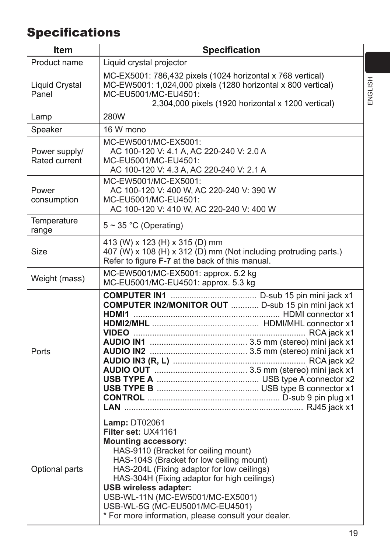# **Specifications**

| <b>Item</b>                           | <b>Specification</b>                                                                                                                                                                                                                                                                                                                                                                                                     |  |
|---------------------------------------|--------------------------------------------------------------------------------------------------------------------------------------------------------------------------------------------------------------------------------------------------------------------------------------------------------------------------------------------------------------------------------------------------------------------------|--|
| Product name                          | Liquid crystal projector                                                                                                                                                                                                                                                                                                                                                                                                 |  |
| <b>Liquid Crystal</b><br>Panel        | MC-EX5001: 786,432 pixels (1024 horizontal x 768 vertical)<br>MC-EW5001: 1,024,000 pixels (1280 horizontal x 800 vertical)<br>MC-EU5001/MC-EU4501:<br>2,304,000 pixels (1920 horizontal x 1200 vertical)                                                                                                                                                                                                                 |  |
| Lamp                                  | <b>280W</b>                                                                                                                                                                                                                                                                                                                                                                                                              |  |
| Speaker                               | 16 W mono                                                                                                                                                                                                                                                                                                                                                                                                                |  |
| Power supply/<br><b>Rated current</b> | MC-EW5001/MC-EX5001:<br>AC 100-120 V: 4.1 A, AC 220-240 V: 2.0 A<br>MC-EU5001/MC-EU4501:<br>AC 100-120 V: 4.3 A, AC 220-240 V: 2.1 A                                                                                                                                                                                                                                                                                     |  |
| Power<br>consumption                  | MC-EW5001/MC-EX5001:<br>AC 100-120 V: 400 W, AC 220-240 V: 390 W<br>MC-EU5001/MC-EU4501:<br>AC 100-120 V: 410 W, AC 220-240 V: 400 W                                                                                                                                                                                                                                                                                     |  |
| Temperature<br>range                  | $5 \sim 35$ °C (Operating)                                                                                                                                                                                                                                                                                                                                                                                               |  |
| <b>Size</b>                           | 413 (W) x 123 (H) x 315 (D) mm<br>407 (W) x 108 (H) x 312 (D) mm (Not including protruding parts.)<br>Refer to figure F-7 at the back of this manual.                                                                                                                                                                                                                                                                    |  |
| Weight (mass)                         | MC-EW5001/MC-EX5001: approx. 5.2 kg<br>MC-EU5001/MC-EU4501: approx. 5.3 kg                                                                                                                                                                                                                                                                                                                                               |  |
| Ports                                 | <b>COMPUTER IN2/MONITOR OUT  D-sub 15 pin mini jack x1</b>                                                                                                                                                                                                                                                                                                                                                               |  |
| Optional parts                        | <b>Lamp: DT02061</b><br>Filter set: UX41161<br><b>Mounting accessory:</b><br>HAS-9110 (Bracket for ceiling mount)<br>HAS-104S (Bracket for low ceiling mount)<br>HAS-204L (Fixing adaptor for low ceilings)<br>HAS-304H (Fixing adaptor for high ceilings)<br><b>USB wireless adapter:</b><br>USB-WL-11N (MC-EW5001/MC-EX5001)<br>USB-WL-5G (MC-EU5001/MC-EU4501)<br>* For more information, please consult your dealer. |  |

ENGLISH ENGLISH